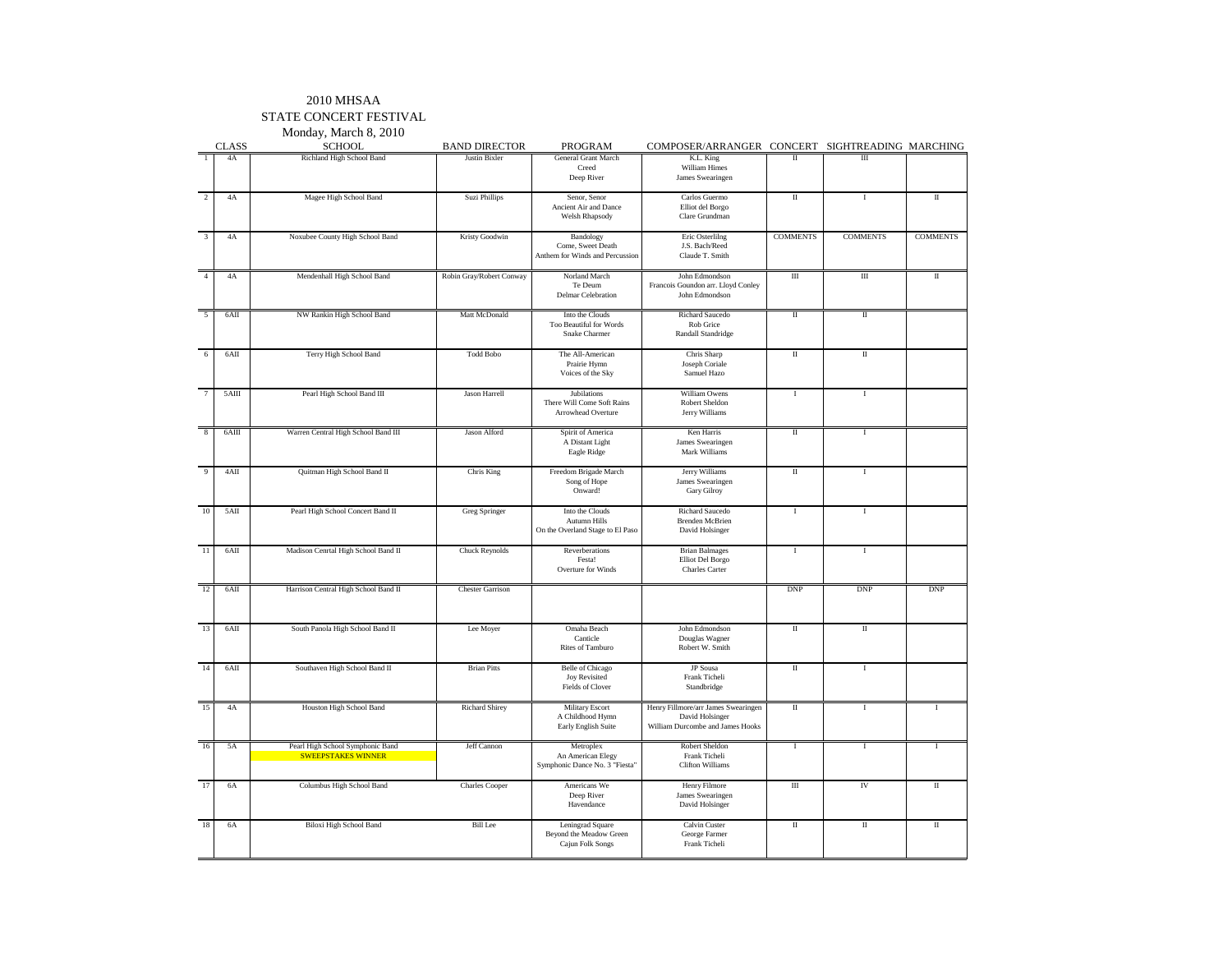### 2010 MHSAASTATE CONCERT FESTIVAL

Monday, March 8, 2010

|                | <b>CLASS</b>   | 1.15<br><b>SCHOOL</b>                                         | <b>BAND DIRECTOR</b>     | PROGRAM                                                             | COMPOSER/ARRANGER CONCERT SIGHTREADING MARCHING                                            |                       |                 |                 |
|----------------|----------------|---------------------------------------------------------------|--------------------------|---------------------------------------------------------------------|--------------------------------------------------------------------------------------------|-----------------------|-----------------|-----------------|
| $\mathbf{1}$   | 4A             | Richland High School Band                                     | <b>Justin Bixler</b>     | General Grant March<br>Creed<br>Deep River                          | K.L. King<br>William Himes<br>James Swearingen                                             | $\mathbf{H}$          | Ш               |                 |
| $\overline{2}$ | 4A             | Magee High School Band                                        | <b>Suzi Phillips</b>     | Senor, Senor<br>Ancient Air and Dance<br>Welsh Rhapsody             | Carlos Guermo<br>Elliot del Borgo<br>Clare Grundman                                        | $\;$ II               | 1               | $\;$ II         |
| 3              | 4A             | Noxubee County High School Band                               | Kristy Goodwin           | Bandology<br>Come, Sweet Death<br>Anthem for Winds and Percussion   | Eric Osterlilng<br>J.S. Bach/Reed<br>Claude T. Smith                                       | <b>COMMENTS</b>       | <b>COMMENTS</b> | <b>COMMENTS</b> |
| $\overline{4}$ | $4\mathrm{A}$  | Mendenhall High School Band                                   | Robin Gray/Robert Conway | Norland March<br>Te Deum<br>Delmar Celebration                      | John Edmondson<br>Francois Goundon arr. Lloyd Conley<br>John Edmondson                     | Ш                     | Ш               | $\;$ II         |
| 5              | 6AII           | NW Rankin High School Band                                    | Matt McDonald            | Into the Clouds<br>Too Beautiful for Words<br>Snake Charmer         | Richard Saucedo<br>Rob Grice<br>Randall Standridge                                         | $\scriptstyle\rm II$  | П               |                 |
| 6              | $6\mathrm{Al}$ | Terry High School Band                                        | <b>Todd Bobo</b>         | The All-American<br>Prairie Hymn<br>Voices of the Sky               | Chris Sharp<br>Joseph Coriale<br>Samuel Hazo                                               | $\rm II$              | $\rm II$        |                 |
| 7              | 5AII           | Pearl High School Band III                                    | Jason Harrell            | Jubilations<br>There Will Come Soft Rains<br>Arrowhead Overture     | William Owens<br>Robert Sheldon<br>Jerry Williams                                          | -1                    | <b>I</b>        |                 |
| 8              | 6AIII          | Warren Central High School Band III                           | Jason Alford             | Spirit of America<br>A Distant Light<br>Eagle Ridge                 | Ken Harris<br>James Swearingen<br>Mark Williams                                            | П                     | I               |                 |
| 9              | 4AII           | Quitman High School Band II                                   | Chris King               | Freedom Brigade March<br>Song of Hope<br>Onward!                    | Jerry Williams<br>James Swearingen<br>Gary Gilroy                                          | $\;$ II               | -1              |                 |
| 10             | 5AII           | Pearl High School Concert Band II                             | Greg Springer            | Into the Clouds<br>Autumn Hills<br>On the Overland Stage to El Paso | Richard Saucedo<br><b>Brenden McBrien</b><br>David Holsinger                               | $\mathbf I$           | $\mathbf I$     |                 |
| 11             | 6AII           | Madison Cenrtal High School Band II                           | <b>Chuck Reynolds</b>    | Reverberations<br>Festa!<br>Overture for Winds                      | <b>Brian Balmages</b><br>Elliot Del Borgo<br>Charles Carter                                | $\mathbf I$           | $\mathbf{I}$    |                 |
| 12             | 6AII           | Harrison Central High School Band II                          | <b>Chester Garrison</b>  |                                                                     |                                                                                            | <b>DNP</b>            | <b>DNP</b>      | <b>DNP</b>      |
| 13             | $6$ AII        | South Panola High School Band II                              | Lee Moyer                | Omaha Beach<br>Canticle<br>Rites of Tamburo                         | John Edmondson<br>Douglas Wagner<br>Robert W. Smith                                        | П                     | П               |                 |
| 14             | 6AII           | Southaven High School Band II                                 | <b>Brian Pitts</b>       | Belle of Chicago<br>Joy Revisited<br>Fields of Clover               | JP Sousa<br>Frank Ticheli<br>Standbridge                                                   | П                     | 1               |                 |
| 15             | 4A             | Houston High School Band                                      | <b>Richard Shirey</b>    | <b>Military Escort</b><br>A Childhood Hymn<br>Early English Suite   | Henry Fillmore/arr James Swearingen<br>David Holsinger<br>William Durcombe and James Hooks | $\overline{\rm{II}}$  | $\rm I$         | $\mathbf I$     |
| 16             | 5A             | Pearl High School Symphonic Band<br><b>SWEEPSTAKES WINNER</b> | Jeff Cannon              | Metroplex<br>An American Elegy<br>Symphonic Dance No. 3 "Fiesta"    | Robert Sheldon<br>Frank Ticheli<br><b>Clifton Williams</b>                                 | $\mathbf{I}$          | $\mathbf{I}$    | T               |
| 17             | 6A             | Columbus High School Band                                     | Charles Cooper           | Americans We<br>Deep River<br>Havendance                            | Henry Filmore<br>James Swearingen<br>David Holsinger                                       | $\overline{\rm{III}}$ | IV              | $\rm{II}$       |
| 18             | 6A             | Biloxi High School Band                                       | <b>Bill</b> Lee          | Leningrad Square<br>Beyond the Meadow Green<br>Cajun Folk Songs     | Calvin Custer<br>George Farmer<br>Frank Ticheli                                            | $\;$ II               | П               | $\rm II$        |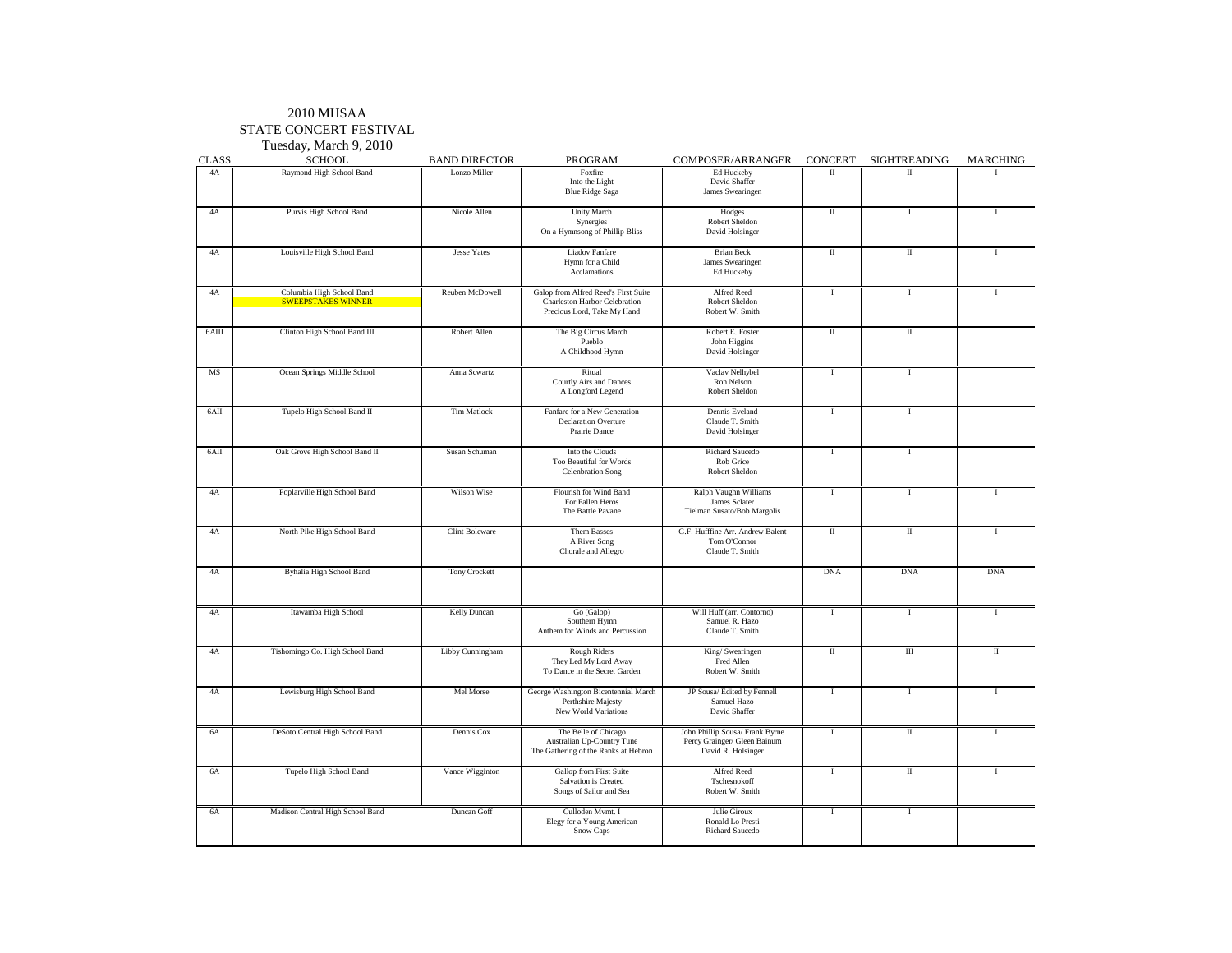### 2010 MHSAA STATE CONCERT FESTIVALTuesday, March 9, 2010

| <b>CLASS</b> | <b>SCHOOL</b>                                          | <b>BAND DIRECTOR</b>  | PROGRAM                                                                                              | COMPOSER/ARRANGER                                                                     | <b>CONCERT</b>          | <b>SIGHTREADING</b>     | <b>MARCHING</b> |
|--------------|--------------------------------------------------------|-----------------------|------------------------------------------------------------------------------------------------------|---------------------------------------------------------------------------------------|-------------------------|-------------------------|-----------------|
| 4A           | Raymond High School Band                               | Lonzo Miller          | Foxfire<br>Into the Light<br><b>Blue Ridge Saga</b>                                                  | Ed Huckeby<br>David Shaffer<br>James Swearingen                                       | $\mathbf{I}$            | $\mathbf{I}$            |                 |
| 4A           | Purvis High School Band                                | Nicole Allen          | Unity March<br>Synergies<br>On a Hymnsong of Phillip Bliss                                           | Hodges<br>Robert Sheldon<br>David Holsinger                                           | $\;$ II                 | $\;$ I                  | $\mathbf{I}$    |
| 4A           | Louisville High School Band                            | <b>Jesse Yates</b>    | <b>Liadov Fanfare</b><br>Hymn for a Child<br>Acclamations                                            | <b>Brian Beck</b><br>James Swearingen<br>Ed Huckeby                                   | $\mathbf{I}$            | $\overline{\mathbf{u}}$ |                 |
| 4A           | Columbia High School Band<br><b>SWEEPSTAKES WINNER</b> | Reuben McDowell       | Galop from Alfred Reed's First Suite<br>Charleston Harbor Celebration<br>Precious Lord, Take My Hand | Alfred Reed<br>Robert Sheldon<br>Robert W. Smith                                      | $\mathbf I$             | $\bf{I}$                | $\mathbf{I}$    |
| 6AIII        | Clinton High School Band III                           | Robert Allen          | The Big Circus March<br>Pueblo<br>A Childhood Hymn                                                   | Robert E. Foster<br>John Higgins<br>David Holsinger                                   | $\overline{\mathbf{u}}$ | $\overline{\mathbf{u}}$ |                 |
| MS           | Ocean Springs Middle School                            | Anna Scwartz          | Ritual<br>Courtly Airs and Dances<br>A Longford Legend                                               | Vaclav Nelhybel<br>Ron Nelson<br>Robert Sheldon                                       | 1                       | $\;$ I                  |                 |
| 6AII         | Tupelo High School Band II                             | <b>Tim Matlock</b>    | Fanfare for a New Generation<br><b>Declaration Overture</b><br>Prairie Dance                         | Dennis Eveland<br>Claude T. Smith<br>David Holsinger                                  | 1                       | 1                       |                 |
| 6AII         | Oak Grove High School Band II                          | Susan Schuman         | Into the Clouds<br>Too Beautiful for Words<br><b>Celenbration Song</b>                               | Richard Saucedo<br>Rob Grice<br>Robert Sheldon                                        | 1                       | Ι.                      |                 |
| 4A           | Poplarville High School Band                           | Wilson Wise           | Flourish for Wind Band<br>For Fallen Heros<br>The Battle Pavane                                      | Ralph Vaughn Williams<br>James Sclater<br>Tielman Susato/Bob Margolis                 | <b>I</b>                | $\mathbf I$             | $\mathbf{I}$    |
| 4A           | North Pike High School Band                            | <b>Clint Boleware</b> | Them Basses<br>A River Song<br>Chorale and Allegro                                                   | G.F. Hufffine Arr. Andrew Balent<br>Tom O'Connor<br>Claude T. Smith                   | $\rm II$                | П                       | $\mathbf{I}$    |
| 4A           | Byhalia High School Band                               | <b>Tony Crockett</b>  |                                                                                                      |                                                                                       | <b>DNA</b>              | <b>DNA</b>              | <b>DNA</b>      |
| 4A           | Itawamba High School                                   | Kelly Duncan          | Go (Galop)<br>Southern Hymn<br>Anthem for Winds and Percussion                                       | Will Huff (arr. Contorno)<br>Samuel R. Hazo<br>Claude T. Smith                        | I                       | $\bf{I}$                | $\mathbf{I}$    |
| 4A           | Tishomingo Co. High School Band                        | Libby Cunningham      | Rough Riders<br>They Led My Lord Away<br>To Dance in the Secret Garden                               | King/Swearingen<br>Fred Allen<br>Robert W. Smith                                      | $\;$ II                 | Ш                       | $\mathbf{I}$    |
| 4A           | Lewisburg High School Band                             | Mel Morse             | George Washington Bicentennial March<br>Perthshire Majesty<br>New World Variations                   | JP Sousa/ Edited by Fennell<br>Samuel Hazo<br>David Shaffer                           | $\bf{I}$                | $\mathbf I$             | $\mathbf{I}$    |
| 6A           | DeSoto Central High School Band                        | Dennis Cox            | The Belle of Chicago<br>Australian Up-Country Tune<br>The Gathering of the Ranks at Hebron           | John Phillip Sousa/ Frank Byrne<br>Percy Grainger/ Gleen Bainum<br>David R. Holsinger | $\;$ I                  | $\rm II$                | $\mathbf{I}$    |
| 6A           | Tupelo High School Band                                | Vance Wigginton       | Gallop from First Suite<br>Salvation is Created<br>Songs of Sailor and Sea                           | Alfred Reed<br>Tschesnokoff<br>Robert W. Smith                                        | <b>I</b>                | П                       |                 |
| 6A           | Madison Central High School Band                       | Duncan Goff           | Culloden Mvmt. I<br>Elegy for a Young American<br>Snow Caps                                          | Julie Giroux<br>Ronald Lo Presti<br>Richard Saucedo                                   | $\mathbf I$             | <b>I</b>                |                 |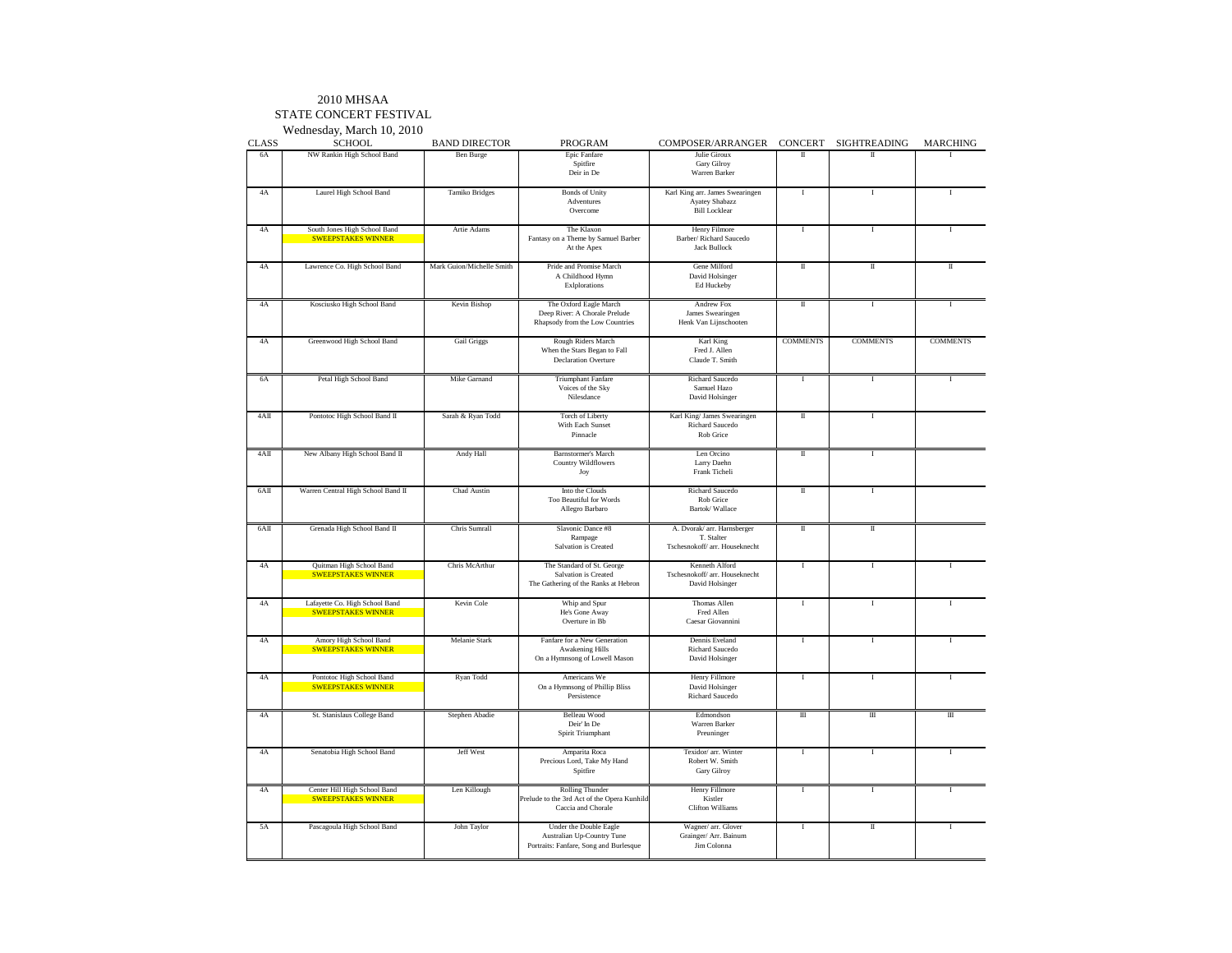### 2010 MHSAASTATE CONCERT FESTIVAL

Wednesday, March 10, 2010

| <b>CLASS</b> | <b>SCHOOL</b>                                               | <b>BAND DIRECTOR</b>      | PROGRAM                                                                                        | COMPOSER/ARRANGER                                                           | CONCERT                 | SIGHTREADING    | <b>MARCHING</b> |
|--------------|-------------------------------------------------------------|---------------------------|------------------------------------------------------------------------------------------------|-----------------------------------------------------------------------------|-------------------------|-----------------|-----------------|
| 6A           | NW Rankin High School Band                                  | Ben Burge                 | Epic Fanfare<br>Spitfire<br>Deir in De                                                         | Julie Giroux<br>Gary Gilroy<br>Warren Barker                                | П                       | П               |                 |
| 4A           | Laurel High School Band                                     | Tamiko Bridges            | <b>Bonds</b> of Unity<br>Adventures<br>Overcome                                                | Karl King arr. James Swearingen<br>Ayatey Shabazz<br><b>Bill Locklear</b>   | I                       | $\bf I$         |                 |
| 4A           | South Jones High School Band<br><b>SWEEPSTAKES WINNER</b>   | Artie Adams               | The Klaxon<br>Fantasy on a Theme by Samuel Barber<br>At the Apex                               | <b>Henry Filmore</b><br>Barber/ Richard Saucedo<br><b>Jack Bullock</b>      | 1                       | I               |                 |
| 4A           | Lawrence Co. High School Band                               | Mark Guion/Michelle Smith | Pride and Promise March<br>A Childhood Hymn<br>Exlplorations                                   | Gene Milford<br>David Holsinger<br>Ed Huckeby                               | $\overline{\mathbf{u}}$ | $\rm{I\!I}$     | $\mathbf{u}$    |
| 4A           | Kosciusko High School Band                                  | Kevin Bishop              | The Oxford Eagle March<br>Deep River: A Chorale Prelude<br>Rhapsody from the Low Countries     | Andrew Fox<br>James Swearingen<br>Henk Van Lijnschooten                     | П                       | T.              |                 |
| 4A           | Greenwood High School Band                                  | Gail Griggs               | Rough Riders March<br>When the Stars Began to Fall<br><b>Declaration Overture</b>              | Karl King<br>Fred J. Allen<br>Claude T. Smith                               | <b>COMMENTS</b>         | <b>COMMENTS</b> | <b>COMMENTS</b> |
| 6A           | Petal High School Band                                      | Mike Garnand              | Triumphant Fanfare<br>Voices of the Sky<br>Nilesdance                                          | Richard Saucedo<br>Samuel Hazo<br>David Holsinger                           | $\mathbf{I}$            | T.              |                 |
| 4AII         | Pontotoc High School Band II                                | Sarah & Ryan Todd         | Torch of Liberty<br>With Each Sunset<br>Pinnacle                                               | Karl King/ James Swearingen<br>Richard Saucedo<br>Rob Grice                 | П                       | T.              |                 |
| 4AII         | New Albany High School Band II                              | Andy Hall                 | <b>Barnstormer's March</b><br><b>Country Wildflowers</b><br>Joy                                | Len Orcino<br>Larry Daehn<br>Frank Ticheli                                  | П                       | $\bf{I}$        |                 |
| 6AII         | Warren Central High School Band II                          | Chad Austin               | Into the Clouds<br>Too Beautiful for Words<br>Allegro Barbaro                                  | Richard Saucedo<br>Rob Grice<br>Bartok/Wallace                              | П                       | 1               |                 |
| $6$ AII      | Grenada High School Band II                                 | Chris Sumrall             | Slavonic Dance #8<br>Rampage<br>Salvation is Created                                           | A. Dvorak/ arr. Harnsberger<br>T. Stalter<br>Tschesnokoff/ arr. Houseknecht | П                       | П               |                 |
| 4A           | Quitman High School Band<br><b>SWEEPSTAKES WINNER</b>       | Chris McArthur            | The Standard of St. George<br>Salvation is Created<br>The Gathering of the Ranks at Hebron     | Kenneth Alford<br>Tschesnokoff/ arr. Houseknecht<br>David Holsinger         | <b>I</b>                | T.              |                 |
| 4A           | Lafayette Co. High School Band<br><b>SWEEPSTAKES WINNER</b> | Kevin Cole                | Whip and Spur<br>He's Gone Away<br>Overture in Bb                                              | Thomas Allen<br>Fred Allen<br>Caesar Giovannini                             | $\mathbf I$             | $\bf{I}$        |                 |
| 4A           | Amory High School Band<br><b>SWEEPSTAKES WINNER</b>         | Melanie Stark             | Fanfare for a New Generation<br>Awakening Hills<br>On a Hymnsong of Lowell Mason               | Dennis Eveland<br>Richard Saucedo<br>David Holsinger                        | 1                       | Ĭ.              |                 |
| 4A           | Pontotoc High School Band<br><b>SWEEPSTAKES WINNER</b>      | Ryan Todd                 | Americans We<br>On a Hymnsong of Phillip Bliss<br>Persistence                                  | Henry Fillmore<br>David Holsinger<br>Richard Saucedo                        | 1                       | 1               | 1               |
| 4A           | St. Stanislaus College Band                                 | Stephen Abadie            | <b>Belleau Wood</b><br>Deir' In De<br>Spirit Triumphant                                        | Edmondson<br>Warren Barker<br>Preuninger                                    | Ш                       | Ш               | Ш               |
| 4A           | Senatobia High School Band                                  | Jeff West                 | Amparita Roca<br>Precious Lord, Take My Hand<br>Spitfire                                       | Texidor/ arr. Winter<br>Robert W. Smith<br>Gary Gilroy                      | T                       | T               |                 |
| 4A           | Center Hill High School Band<br><b>SWEEPSTAKES WINNER</b>   | Len Killough              | <b>Rolling Thunder</b><br>Prelude to the 3rd Act of the Opera Kunhild<br>Caccia and Chorale    | Henry Fillmore<br>Kistler<br><b>Clifton Williams</b>                        | $\mathbf{I}$            | T.              |                 |
| 5A           | Pascagoula High School Band                                 | John Taylor               | Under the Double Eagle<br>Australian Up-Country Tune<br>Portraits: Fanfare, Song and Burlesque | Wagner/ arr. Glover<br>Grainger/ Arr. Bainum<br>Jim Colonna                 | 1                       | П               |                 |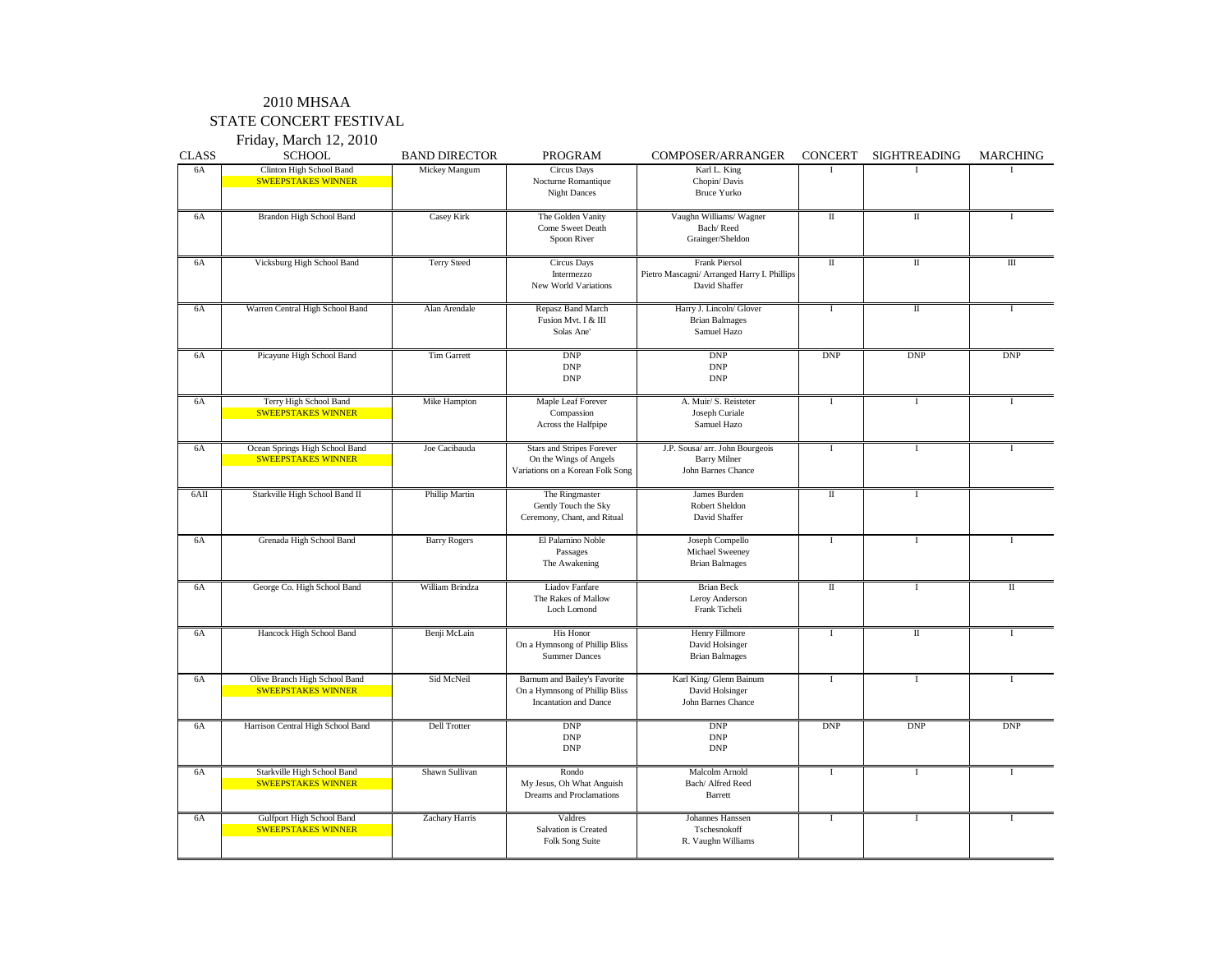# 2010 MHSAA

### STATE CONCERT FESTIVAL

Friday, March 12, 2010

| <b>CLASS</b> | <b>SCHOOL</b>                                               | <b>BAND DIRECTOR</b>  | PROGRAM                                                                                        | COMPOSER/ARRANGER                                                             | <b>CONCERT</b> | <b>SIGHTREADING</b>     | <b>MARCHING</b>         |
|--------------|-------------------------------------------------------------|-----------------------|------------------------------------------------------------------------------------------------|-------------------------------------------------------------------------------|----------------|-------------------------|-------------------------|
| <b>6A</b>    | Clinton High School Band<br><b>SWEEPSTAKES WINNER</b>       | Mickey Mangum         | <b>Circus Days</b><br>Nocturne Romantique<br><b>Night Dances</b>                               | Karl L. King<br>Chopin/Davis<br><b>Bruce Yurko</b>                            |                |                         |                         |
| 6A           | Brandon High School Band                                    | Casey Kirk            | The Golden Vanity<br>Come Sweet Death<br>Spoon River                                           | Vaughn Williams/Wagner<br>Bach/Reed<br>Grainger/Sheldon                       | $\rm{II}$      | $\overline{\mathbf{u}}$ | $\mathbf{I}$            |
| 6A           | Vicksburg High School Band                                  | <b>Terry Steed</b>    | Circus Days<br>Intermezzo<br>New World Variations                                              | Frank Piersol<br>Pietro Mascagni/ Arranged Harry I. Phillips<br>David Shaffer | $\rm{II}$      | $\rm{I\!I}$             | Ш                       |
| <b>6A</b>    | Warren Central High School Band                             | Alan Arendale         | Repasz Band March<br>Fusion Mvt. I & III<br>Solas Ane'                                         | Harry J. Lincoln/ Glover<br><b>Brian Balmages</b><br>Samuel Hazo              | T              | Π                       |                         |
| 6A           | Picayune High School Band                                   | <b>Tim Garrett</b>    | <b>DNP</b><br><b>DNP</b><br><b>DNP</b>                                                         | <b>DNP</b><br><b>DNP</b><br><b>DNP</b>                                        | <b>DNP</b>     | <b>DNP</b>              | <b>DNP</b>              |
| 6A           | Terry High School Band<br><b>SWEEPSTAKES WINNER</b>         | Mike Hampton          | Maple Leaf Forever<br>Compassion<br>Across the Halfpipe                                        | A. Muir/ S. Reisteter<br>Joseph Curiale<br>Samuel Hazo                        | I              | $\mathbf I$             | I                       |
| <b>6A</b>    | Ocean Springs High School Band<br><b>SWEEPSTAKES WINNER</b> | Joe Cacibauda         | <b>Stars and Stripes Forever</b><br>On the Wings of Angels<br>Variations on a Korean Folk Song | J.P. Sousa/ arr. John Bourgeois<br><b>Barry Milner</b><br>John Barnes Chance  | $\overline{1}$ | Τ                       | $\mathbf{I}$            |
| 6AII         | Starkville High School Band II                              | Phillip Martin        | The Ringmaster<br>Gently Touch the Sky<br>Ceremony, Chant, and Ritual                          | James Burden<br>Robert Sheldon<br>David Shaffer                               | П              | I                       |                         |
| 6A           | Grenada High School Band                                    | <b>Barry Rogers</b>   | El Palamino Noble<br>Passages<br>The Awakening                                                 | Joseph Compello<br>Michael Sweeney<br><b>Brian Balmages</b>                   | $\bf{I}$       | $\bf{I}$                | $\mathbf{I}$            |
| 6A           | George Co. High School Band                                 | William Brindza       | Liadov Fanfare<br>The Rakes of Mallow<br>Loch Lomond                                           | <b>Brian Beck</b><br>Leroy Anderson<br>Frank Ticheli                          | $\rm{II}$      | Ι                       | $\overline{\mathbf{u}}$ |
| 6A           | Hancock High School Band                                    | Benji McLain          | His Honor<br>On a Hymnsong of Phillip Bliss<br><b>Summer Dances</b>                            | Henry Fillmore<br>David Holsinger<br><b>Brian Balmages</b>                    | $\bf{I}$       | $\scriptstyle\rm II$    | $\mathbf{I}$            |
| 6A           | Olive Branch High School Band<br><b>SWEEPSTAKES WINNER</b>  | Sid McNeil            | Barnum and Bailey's Favorite<br>On a Hymnsong of Phillip Bliss<br>Incantation and Dance        | Karl King/ Glenn Bainum<br>David Holsinger<br>John Barnes Chance              | Τ              | T                       |                         |
| 6A           | Harrison Central High School Band                           | <b>Dell Trotter</b>   | <b>DNP</b><br><b>DNP</b><br><b>DNP</b>                                                         | <b>DNP</b><br><b>DNP</b><br><b>DNP</b>                                        | <b>DNP</b>     | <b>DNP</b>              | <b>DNP</b>              |
| 6A           | Starkville High School Band<br><b>SWEEPSTAKES WINNER</b>    | Shawn Sullivan        | Rondo<br>My Jesus, Oh What Anguish<br>Dreams and Proclamations                                 | Malcolm Arnold<br>Bach/ Alfred Reed<br>Barrett                                | I              | $\mathbf I$             |                         |
| <b>6A</b>    | Gulfport High School Band<br><b>SWEEPSTAKES WINNER</b>      | <b>Zachary Harris</b> | Valdres<br>Salvation is Created<br>Folk Song Suite                                             | Johannes Hanssen<br>Tschesnokoff<br>R. Vaughn Williams                        | $\bf{I}$       | $\mathbf I$             | $\bf{I}$                |